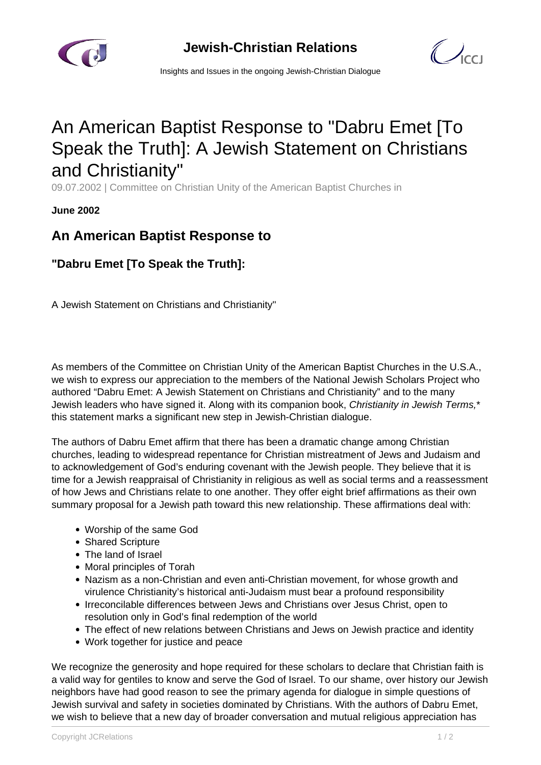

 $\bigcup_{C}$ 

Insights and Issues in the ongoing Jewish-Christian Dialogue

## An American Baptist Response to "Dabru Emet [To Speak the Truth]: A Jewish Statement on Christians and Christianity"

09.07.2002 | Committee on Christian Unity of the American Baptist Churches in

**June 2002**

## **An American Baptist Response to**

**"Dabru Emet [To Speak the Truth]:**

A Jewish Statement on Christians and Christianity"

As members of the Committee on Christian Unity of the American Baptist Churches in the U.S.A., we wish to express our appreciation to the members of the National Jewish Scholars Project who authored "Dabru Emet: A Jewish Statement on Christians and Christianity" and to the many Jewish leaders who have signed it. Along with its companion book, Christianity in Jewish Terms,\* this statement marks a significant new step in Jewish-Christian dialogue.

The authors of Dabru Emet affirm that there has been a dramatic change among Christian churches, leading to widespread repentance for Christian mistreatment of Jews and Judaism and to acknowledgement of God's enduring covenant with the Jewish people. They believe that it is time for a Jewish reappraisal of Christianity in religious as well as social terms and a reassessment of how Jews and Christians relate to one another. They offer eight brief affirmations as their own summary proposal for a Jewish path toward this new relationship. These affirmations deal with:

- Worship of the same God
- Shared Scripture
- The land of Israel
- Moral principles of Torah
- Nazism as a non-Christian and even anti-Christian movement, for whose growth and virulence Christianity's historical anti-Judaism must bear a profound responsibility
- Irreconcilable differences between Jews and Christians over Jesus Christ, open to resolution only in God's final redemption of the world
- The effect of new relations between Christians and Jews on Jewish practice and identity
- Work together for justice and peace

We recognize the generosity and hope required for these scholars to declare that Christian faith is a valid way for gentiles to know and serve the God of Israel. To our shame, over history our Jewish neighbors have had good reason to see the primary agenda for dialogue in simple questions of Jewish survival and safety in societies dominated by Christians. With the authors of Dabru Emet, we wish to believe that a new day of broader conversation and mutual religious appreciation has